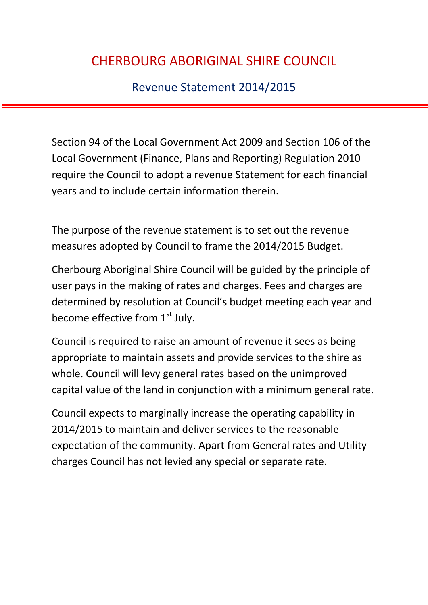Revenue Statement 2014/2015

Section 94 of the Local Government Act 2009 and Section 106 of the Local Government (Finance, Plans and Reporting) Regulation 2010 require the Council to adopt a revenue Statement for each financial years and to include certain information therein.

The purpose of the revenue statement is to set out the revenue measures adopted by Council to frame the 2014/2015 Budget.

Cherbourg Aboriginal Shire Council will be guided by the principle of user pays in the making of rates and charges. Fees and charges are determined by resolution at Council's budget meeting each year and become effective from  $1<sup>st</sup>$  July.

Council is required to raise an amount of revenue it sees as being appropriate to maintain assets and provide services to the shire as whole. Council will levy general rates based on the unimproved capital value of the land in conjunction with a minimum general rate.

Council expects to marginally increase the operating capability in 2014/2015 to maintain and deliver services to the reasonable expectation of the community. Apart from General rates and Utility charges Council has not levied any special or separate rate.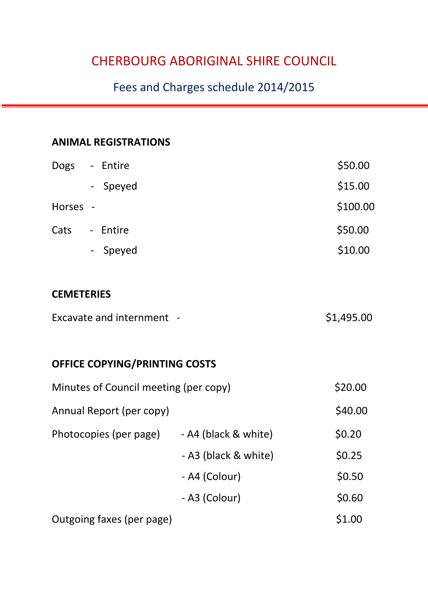## Fees and Charges schedule 2014/2015

### **ANIMAL REGISTRATIONS**

| <b>Dogs</b> | - Entire | \$50.00  |
|-------------|----------|----------|
|             | - Speyed | \$15.00  |
| Horses -    |          | \$100.00 |
| Cats        | - Entire | \$50.00  |
|             | - Speyed | \$10.00  |

#### **CEMETERIES**

| Excavate and internment - | \$1,495.00 |
|---------------------------|------------|
|---------------------------|------------|

### **OFFICE COPYING/PRINTING COSTS**

| Minutes of Council meeting (per copy) |                      | \$20.00 |
|---------------------------------------|----------------------|---------|
| Annual Report (per copy)              |                      | \$40.00 |
| Photocopies (per page)                | - A4 (black & white) | \$0.20  |
|                                       | - A3 (black & white) | \$0.25  |
|                                       | - A4 (Colour)        | \$0.50  |
|                                       | - A3 (Colour)        | \$0.60  |
| Outgoing faxes (per page)             |                      | \$1.00  |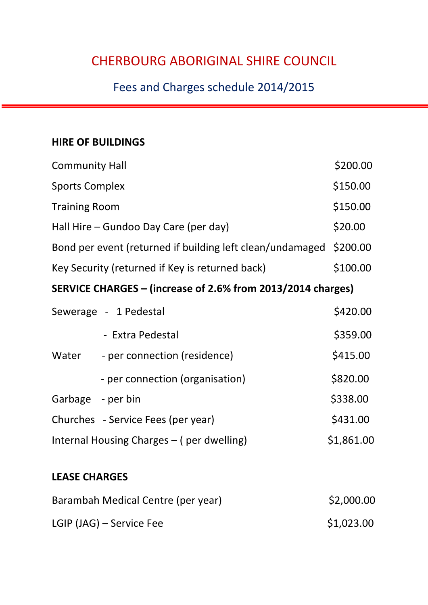## Fees and Charges schedule 2014/2015

#### **HIRE OF BUILDINGS**

| <b>Community Hall</b>                                       |                                                           | \$200.00 |
|-------------------------------------------------------------|-----------------------------------------------------------|----------|
| <b>Sports Complex</b>                                       |                                                           | \$150.00 |
| <b>Training Room</b>                                        |                                                           | \$150.00 |
| Hall Hire – Gundoo Day Care (per day)                       |                                                           | \$20.00  |
|                                                             | Bond per event (returned if building left clean/undamaged | \$200.00 |
| Key Security (returned if Key is returned back)             |                                                           | \$100.00 |
| SERVICE CHARGES – (increase of 2.6% from 2013/2014 charges) |                                                           |          |
|                                                             | Sewerage - 1 Pedestal                                     | \$420.00 |
|                                                             | - Extra Pedestal                                          | \$359.00 |
| Water                                                       | - per connection (residence)                              | \$415.00 |
|                                                             | - per connection (organisation)                           | \$820.00 |
| Garbage - per bin                                           |                                                           | \$338.00 |
|                                                             | Churches - Service Fees (per year)                        | \$431.00 |
| \$1,861.00<br>Internal Housing Charges – (per dwelling)     |                                                           |          |

#### **LEASE CHARGES**

| Barambah Medical Centre (per year) | \$2,000.00 |
|------------------------------------|------------|
| LGIP (JAG) – Service Fee           | \$1,023.00 |